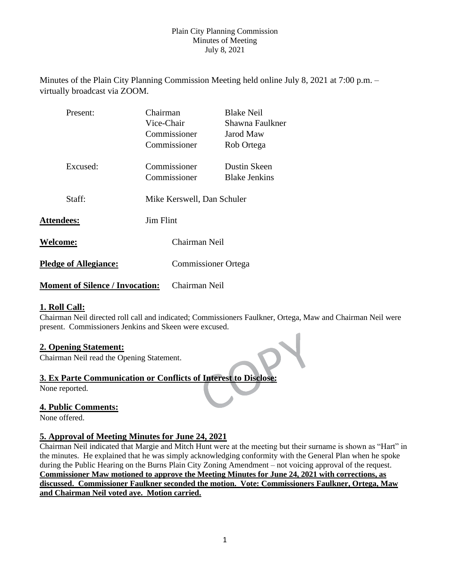Minutes of the Plain City Planning Commission Meeting held online July 8, 2021 at 7:00 p.m. – virtually broadcast via ZOOM.

| Present:                               | Chairman   |                            | <b>Blake Neil</b>          |  |
|----------------------------------------|------------|----------------------------|----------------------------|--|
|                                        | Vice-Chair |                            | Shawna Faulkner            |  |
|                                        |            | Commissioner               | Jarod Maw                  |  |
|                                        |            | Commissioner               | Rob Ortega                 |  |
| Excused:                               |            | Commissioner               | Dustin Skeen               |  |
|                                        |            | Commissioner               | <b>Blake Jenkins</b>       |  |
| Staff:                                 |            | Mike Kerswell, Dan Schuler |                            |  |
| <b>Jim Flint</b><br><b>Attendees:</b>  |            |                            |                            |  |
| Welcome:                               |            | Chairman Neil              |                            |  |
| <b>Pledge of Allegiance:</b>           |            |                            | <b>Commissioner Ortega</b> |  |
| <b>Moment of Silence / Invocation:</b> |            | Chairman Neil              |                            |  |

# **1. Roll Call:**

Chairman Neil directed roll call and indicated; Commissioners Faulkner, Ortega, Maw and Chairman Neil were present. Commissioners Jenkins and Skeen were excused.

# **2. Opening Statement:**

Chairman Neil read the Opening Statement.

### **3. Ex Parte Communication or Conflicts of Interest to Disclose:**

None reported.

### **4. Public Comments:**

None offered.

## **5. Approval of Meeting Minutes for June 24, 2021**

Chairman Neil indicated that Margie and Mitch Hunt were at the meeting but their surname is shown as "Hart" in the minutes. He explained that he was simply acknowledging conformity with the General Plan when he spoke during the Public Hearing on the Burns Plain City Zoning Amendment – not voicing approval of the request. **Commissioner Maw motioned to approve the Meeting Minutes for June 24, 2021 with corrections, as discussed. Commissioner Faulkner seconded the motion. Vote: Commissioners Faulkner, Ortega, Maw and Chairman Neil voted aye. Motion carried.**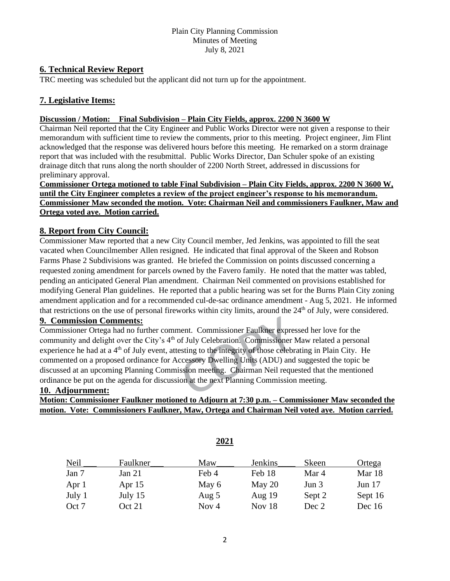### **6. Technical Review Report**

TRC meeting was scheduled but the applicant did not turn up for the appointment.

# **7. Legislative Items:**

#### **Discussion / Motion: Final Subdivision – Plain City Fields, approx. 2200 N 3600 W**

Chairman Neil reported that the City Engineer and Public Works Director were not given a response to their memorandum with sufficient time to review the comments, prior to this meeting. Project engineer, Jim Flint acknowledged that the response was delivered hours before this meeting. He remarked on a storm drainage report that was included with the resubmittal. Public Works Director, Dan Schuler spoke of an existing drainage ditch that runs along the north shoulder of 2200 North Street, addressed in discussions for preliminary approval.

**Commissioner Ortega motioned to table Final Subdivision – Plain City Fields, approx. 2200 N 3600 W, until the City Engineer completes a review of the project engineer's response to his memorandum. Commissioner Maw seconded the motion. Vote: Chairman Neil and commissioners Faulkner, Maw and Ortega voted aye. Motion carried.**

### **8. Report from City Council:**

Commissioner Maw reported that a new City Council member, Jed Jenkins, was appointed to fill the seat vacated when Councilmember Allen resigned. He indicated that final approval of the Skeen and Robson Farms Phase 2 Subdivisions was granted. He briefed the Commission on points discussed concerning a requested zoning amendment for parcels owned by the Favero family. He noted that the matter was tabled, pending an anticipated General Plan amendment. Chairman Neil commented on provisions established for modifying General Plan guidelines. He reported that a public hearing was set for the Burns Plain City zoning amendment application and for a recommended cul-de-sac ordinance amendment - Aug 5, 2021. He informed that restrictions on the use of personal fireworks within city limits, around the  $24<sup>th</sup>$  of July, were considered.

# **9. Commission Comments:**

Commissioner Ortega had no further comment. Commissioner Faulkner expressed her love for the community and delight over the City's 4<sup>th</sup> of July Celebration. Commissioner Maw related a personal experience he had at a  $4<sup>th</sup>$  of July event, attesting to the integrity of those celebrating in Plain City. He commented on a proposed ordinance for Accessory Dwelling Units (ADU) and suggested the topic be discussed at an upcoming Planning Commission meeting. Chairman Neil requested that the mentioned ordinance be put on the agenda for discussion at the next Planning Commission meeting.

### **10. Adjournment:**

# **Motion: Commissioner Faulkner motioned to Adjourn at 7:30 p.m. – Commissioner Maw seconded the motion. Vote: Commissioners Faulkner, Maw, Ortega and Chairman Neil voted aye. Motion carried.**

| Neil   | Faulkner | Maw   | Jenkins  | Skeen   | Ortega   |
|--------|----------|-------|----------|---------|----------|
| Jan 7  | Jan $21$ | Feb 4 | Feb 18   | Mar 4   | Mar 18   |
| Apr 1  | Apr $15$ | May 6 | May $20$ | Jun $3$ | Jun $17$ |
| July 1 | July 15  | Aug 5 | Aug $19$ | Sept 2  | Sept 16  |
| Oct 7  | Oct 21   | Nov 4 | Nov $18$ | Dec 2   | Dec $16$ |

**2021**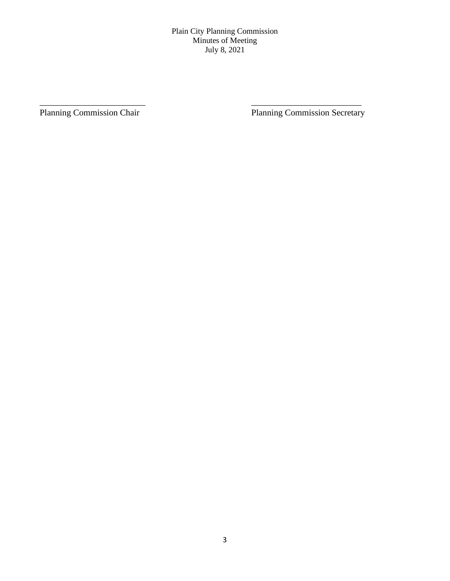\_\_\_\_\_\_\_\_\_\_\_\_\_\_\_\_\_\_\_\_\_\_\_\_ \_\_\_\_\_\_\_\_\_\_\_\_\_\_\_\_\_\_\_\_\_\_\_\_\_

Planning Commission Chair Planning Commission Secretary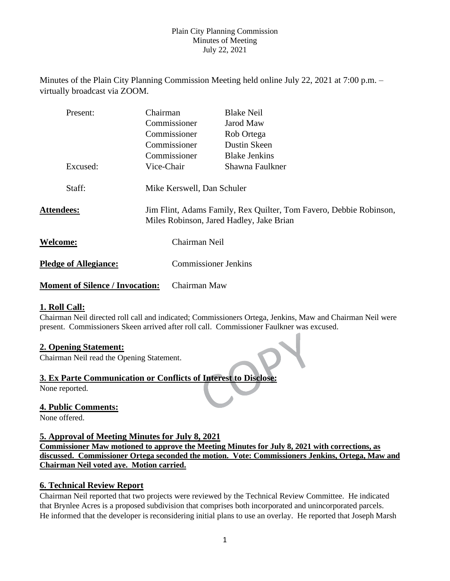Minutes of the Plain City Planning Commission Meeting held online July 22, 2021 at 7:00 p.m. – virtually broadcast via ZOOM.

| Present:                               | Chairman                                                                                                       | <b>Blake Neil</b>           |  |
|----------------------------------------|----------------------------------------------------------------------------------------------------------------|-----------------------------|--|
|                                        | Commissioner                                                                                                   | Jarod Maw                   |  |
|                                        | Commissioner                                                                                                   | Rob Ortega                  |  |
|                                        | Commissioner                                                                                                   | Dustin Skeen                |  |
|                                        | Commissioner                                                                                                   | <b>Blake Jenkins</b>        |  |
| Excused:                               | Vice-Chair                                                                                                     | Shawna Faulkner             |  |
| Staff:                                 | Mike Kerswell, Dan Schuler                                                                                     |                             |  |
| <b>Attendees:</b>                      | Jim Flint, Adams Family, Rex Quilter, Tom Favero, Debbie Robinson,<br>Miles Robinson, Jared Hadley, Jake Brian |                             |  |
| <b>Welcome:</b>                        | Chairman Neil                                                                                                  |                             |  |
| <b>Pledge of Allegiance:</b>           |                                                                                                                | <b>Commissioner Jenkins</b> |  |
| <b>Moment of Silence / Invocation:</b> | Chairman Maw                                                                                                   |                             |  |

### **1. Roll Call:**

Chairman Neil directed roll call and indicated; Commissioners Ortega, Jenkins, Maw and Chairman Neil were present. Commissioners Skeen arrived after roll call. Commissioner Faulkner was excused.

### **2. Opening Statement:**

Chairman Neil read the Opening Statement.

### **3. Ex Parte Communication or Conflicts of Interest to Disclose:**

None reported.

# **4. Public Comments:**

None offered.

### **5. Approval of Meeting Minutes for July 8, 2021**

**Commissioner Maw motioned to approve the Meeting Minutes for July 8, 2021 with corrections, as discussed. Commissioner Ortega seconded the motion. Vote: Commissioners Jenkins, Ortega, Maw and Chairman Neil voted aye. Motion carried.**

### **6. Technical Review Report**

Chairman Neil reported that two projects were reviewed by the Technical Review Committee. He indicated that Brynlee Acres is a proposed subdivision that comprises both incorporated and unincorporated parcels. He informed that the developer is reconsidering initial plans to use an overlay. He reported that Joseph Marsh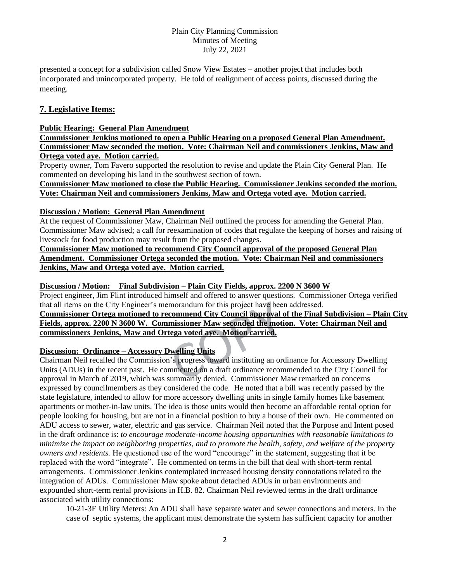presented a concept for a subdivision called Snow View Estates – another project that includes both incorporated and unincorporated property. He told of realignment of access points, discussed during the meeting.

# **7. Legislative Items:**

#### **Public Hearing: General Plan Amendment**

**Commissioner Jenkins motioned to open a Public Hearing on a proposed General Plan Amendment. Commissioner Maw seconded the motion. Vote: Chairman Neil and commissioners Jenkins, Maw and Ortega voted aye. Motion carried.**

Property owner, Tom Favero supported the resolution to revise and update the Plain City General Plan. He commented on developing his land in the southwest section of town.

**Commissioner Maw motioned to close the Public Hearing. Commissioner Jenkins seconded the motion. Vote: Chairman Neil and commissioners Jenkins, Maw and Ortega voted aye. Motion carried.**

#### **Discussion / Motion: General Plan Amendment**

At the request of Commissioner Maw, Chairman Neil outlined the process for amending the General Plan. Commissioner Maw advised; a call for reexamination of codes that regulate the keeping of horses and raising of livestock for food production may result from the proposed changes.

**Commissioner Maw motioned to recommend City Council approval of the proposed General Plan Amendment. Commissioner Ortega seconded the motion. Vote: Chairman Neil and commissioners Jenkins, Maw and Ortega voted aye. Motion carried.**

#### **Discussion / Motion: Final Subdivision – Plain City Fields, approx. 2200 N 3600 W**

Project engineer, Jim Flint introduced himself and offered to answer questions. Commissioner Ortega verified that all items on the City Engineer's memorandum for this project have been addressed.

#### **Commissioner Ortega motioned to recommend City Council approval of the Final Subdivision – Plain City Fields, approx. 2200 N 3600 W. Commissioner Maw seconded the motion. Vote: Chairman Neil and commissioners Jenkins, Maw and Ortega voted aye. Motion carried.**

### **Discussion: Ordinance – Accessory Dwelling Units**

Chairman Neil recalled the Commission's progress toward instituting an ordinance for Accessory Dwelling Units (ADUs) in the recent past. He commented on a draft ordinance recommended to the City Council for approval in March of 2019, which was summarily denied. Commissioner Maw remarked on concerns expressed by councilmembers as they considered the code. He noted that a bill was recently passed by the state legislature, intended to allow for more accessory dwelling units in single family homes like basement apartments or mother-in-law units. The idea is those units would then become an affordable rental option for people looking for housing, but are not in a financial position to buy a house of their own. He commented on ADU access to sewer, water, electric and gas service. Chairman Neil noted that the Purpose and Intent posed in the draft ordinance is: *to encourage moderate-income housing opportunities with reasonable limitations to minimize the impact on neighboring properties, and to promote the health, safety, and welfare of the property owners and residents.* He questioned use of the word "encourage" in the statement, suggesting that it be replaced with the word "integrate". He commented on terms in the bill that deal with short-term rental arrangements. Commissioner Jenkins contemplated increased housing density connotations related to the integration of ADUs. Commissioner Maw spoke about detached ADUs in urban environments and expounded short-term rental provisions in H.B. 82. Chairman Neil reviewed terms in the draft ordinance associated with utility connections:

10-21-3E Utility Meters: An ADU shall have separate water and sewer connections and meters. In the case of septic systems, the applicant must demonstrate the system has sufficient capacity for another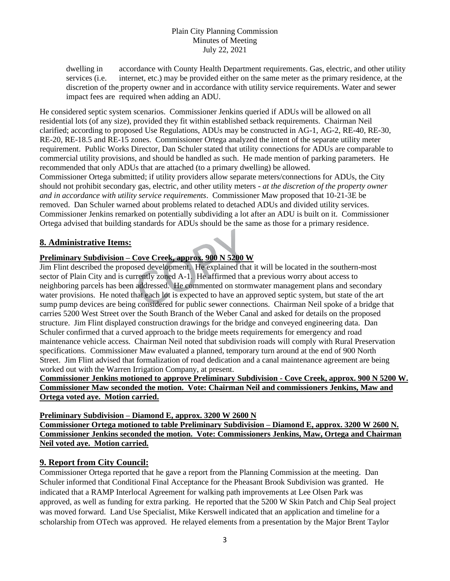dwelling in accordance with County Health Department requirements. Gas, electric, and other utility services (i.e. internet, etc.) may be provided either on the same meter as the primary residence, at the discretion of the property owner and in accordance with utility service requirements. Water and sewer impact fees are required when adding an ADU.

He considered septic system scenarios. Commissioner Jenkins queried if ADUs will be allowed on all residential lots (of any size), provided they fit within established setback requirements. Chairman Neil clarified; according to proposed Use Regulations, ADUs may be constructed in AG-1, AG-2, RE-40, RE-30, RE-20, RE-18.5 and RE-15 zones. Commissioner Ortega analyzed the intent of the separate utility meter requirement. Public Works Director, Dan Schuler stated that utility connections for ADUs are comparable to commercial utility provisions, and should be handled as such. He made mention of parking parameters. He recommended that only ADUs that are attached (to a primary dwelling) be allowed. Commissioner Ortega submitted; if utility providers allow separate meters/connections for ADUs, the City should not prohibit secondary gas, electric, and other utility meters - *at the discretion of the property owner and in accordance with utility service requirements*. Commissioner Maw proposed that 10-21-3E be removed. Dan Schuler warned about problems related to detached ADUs and divided utility services. Commissioner Jenkins remarked on potentially subdividing a lot after an ADU is built on it. Commissioner

Ortega advised that building standards for ADUs should be the same as those for a primary residence.

# **8. Administrative Items:**

# **Preliminary Subdivision – Cove Creek, approx. 900 N 5200 W**

Jim Flint described the proposed development. He explained that it will be located in the southern-most sector of Plain City and is currently zoned A-1. He affirmed that a previous worry about access to neighboring parcels has been addressed. He commented on stormwater management plans and secondary water provisions. He noted that each lot is expected to have an approved septic system, but state of the art sump pump devices are being considered for public sewer connections. Chairman Neil spoke of a bridge that carries 5200 West Street over the South Branch of the Weber Canal and asked for details on the proposed structure. Jim Flint displayed construction drawings for the bridge and conveyed engineering data. Dan Schuler confirmed that a curved approach to the bridge meets requirements for emergency and road maintenance vehicle access. Chairman Neil noted that subdivision roads will comply with Rural Preservation specifications. Commissioner Maw evaluated a planned, temporary turn around at the end of 900 North Street. Jim Flint advised that formalization of road dedication and a canal maintenance agreement are being worked out with the Warren Irrigation Company, at present.

#### **Commissioner Jenkins motioned to approve Preliminary Subdivision - Cove Creek, approx. 900 N 5200 W. Commissioner Maw seconded the motion. Vote: Chairman Neil and commissioners Jenkins, Maw and Ortega voted aye. Motion carried.**

**Preliminary Subdivision – Diamond E, approx. 3200 W 2600 N** 

**Commissioner Ortega motioned to table Preliminary Subdivision – Diamond E, approx. 3200 W 2600 N. Commissioner Jenkins seconded the motion. Vote: Commissioners Jenkins, Maw, Ortega and Chairman Neil voted aye. Motion carried.**

### **9. Report from City Council:**

Commissioner Ortega reported that he gave a report from the Planning Commission at the meeting. Dan Schuler informed that Conditional Final Acceptance for the Pheasant Brook Subdivision was granted. He indicated that a RAMP Interlocal Agreement for walking path improvements at Lee Olsen Park was approved, as well as funding for extra parking. He reported that the 5200 W Skin Patch and Chip Seal project was moved forward. Land Use Specialist, Mike Kerswell indicated that an application and timeline for a scholarship from OTech was approved. He relayed elements from a presentation by the Major Brent Taylor